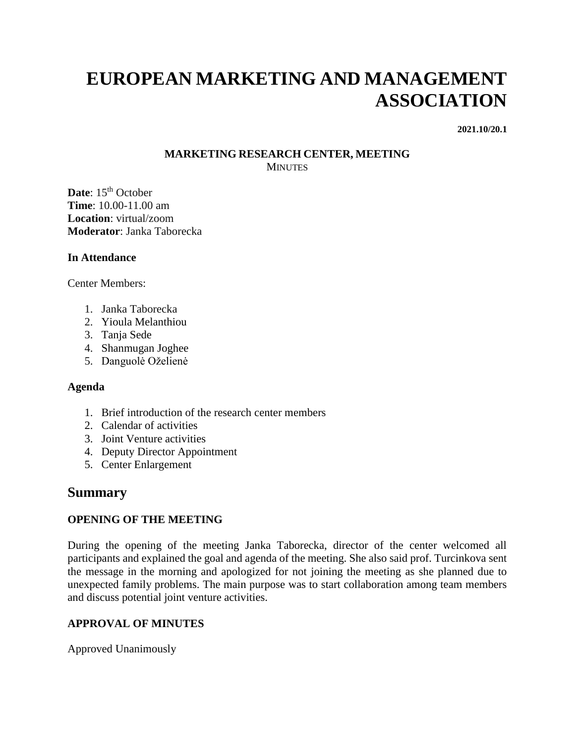# **EUROPEAN MARKETING AND MANAGEMENT ASSOCIATION**

**2021.10/20.1**

#### **MARKETING RESEARCH CENTER, MEETING MINUTES**

Date: 15<sup>th</sup> October **Time**: 10.00-11.00 am **Location**: virtual/zoom **Moderator**: Janka Taborecka

#### **In Attendance**

Center Members:

- 1. Janka Taborecka
- 2. Yioula Melanthiou
- 3. Tanja Sede
- 4. Shanmugan Joghee
- 5. Danguolė Oželienė

#### **Agenda**

- 1. Brief introduction of the research center members
- 2. Calendar of activities
- 3. Joint Venture activities
- 4. Deputy Director Appointment
- 5. Center Enlargement

## **Summary**

#### **OPENING OF THE MEETING**

During the opening of the meeting Janka Taborecka, director of the center welcomed all participants and explained the goal and agenda of the meeting. She also said prof. Turcinkova sent the message in the morning and apologized for not joining the meeting as she planned due to unexpected family problems. The main purpose was to start collaboration among team members and discuss potential joint venture activities.

### **APPROVAL OF MINUTES**

Approved Unanimously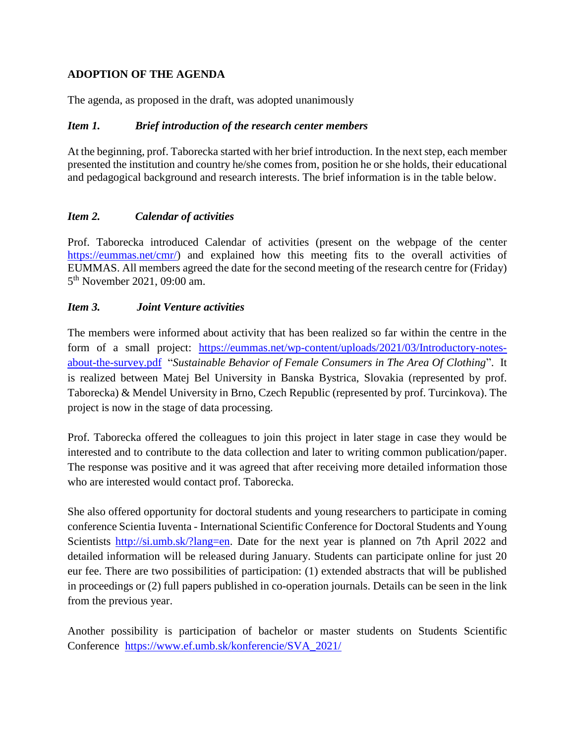## **ADOPTION OF THE AGENDA**

The agenda, as proposed in the draft, was adopted unanimously

#### *Item 1. Brief introduction of the research center members*

At the beginning, prof. Taborecka started with her brief introduction. In the next step, each member presented the institution and country he/she comes from, position he or she holds, their educational and pedagogical background and research interests. The brief information is in the table below.

### *Item 2. Calendar of activities*

Prof. Taborecka introduced Calendar of activities (present on the webpage of the center [https://eummas.net/cmr/\)](https://eummas.net/cmr/) and explained how this meeting fits to the overall activities of EUMMAS. All members agreed the date for the second meeting of the research centre for (Friday) 5<sup>th</sup> November 2021, 09:00 am.

#### *Item 3. Joint Venture activities*

The members were informed about activity that has been realized so far within the centre in the form of a small project: [https://eummas.net/wp-content/uploads/2021/03/Introductory-notes](https://eummas.net/wp-content/uploads/2021/03/Introductory-notes-about-the-survey.pdf)[about-the-survey.pdf](https://eummas.net/wp-content/uploads/2021/03/Introductory-notes-about-the-survey.pdf) "*Sustainable Behavior of Female Consumers in The Area Of Clothing*". It is realized between Matej Bel University in Banska Bystrica, Slovakia (represented by prof. Taborecka) & Mendel University in Brno, Czech Republic (represented by prof. Turcinkova). The project is now in the stage of data processing.

Prof. Taborecka offered the colleagues to join this project in later stage in case they would be interested and to contribute to the data collection and later to writing common publication/paper. The response was positive and it was agreed that after receiving more detailed information those who are interested would contact prof. Taborecka.

She also offered opportunity for doctoral students and young researchers to participate in coming conference Scientia Iuventa - International Scientific Conference for Doctoral Students and Young Scientists [http://si.umb.sk/?lang=en.](http://si.umb.sk/?lang=en) Date for the next year is planned on 7th April 2022 and detailed information will be released during January. Students can participate online for just 20 eur fee. There are two possibilities of participation: (1) extended abstracts that will be published in proceedings or (2) full papers published in co-operation journals. Details can be seen in the link from the previous year.

Another possibility is participation of bachelor or master students on Students Scientific Conference [https://www.ef.umb.sk/konferencie/SVA\\_2021/](https://www.ef.umb.sk/konferencie/SVA_2021/)